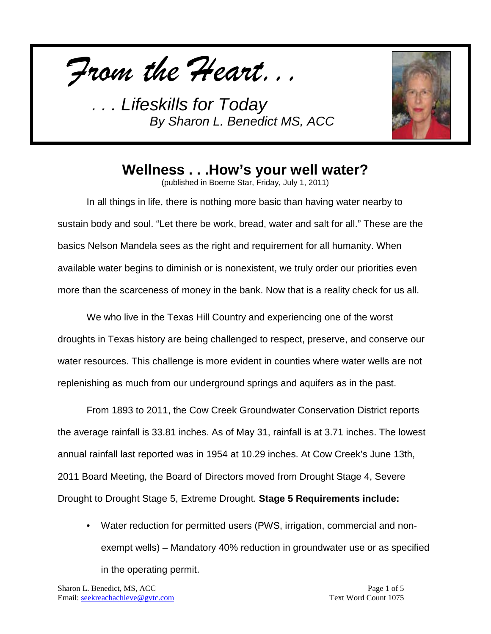*From the Heart...*



## **Wellness . . .How's your well water?**

(published in Boerne Star, Friday, July 1, 2011)

In all things in life, there is nothing more basic than having water nearby to sustain body and soul. "Let there be work, bread, water and salt for all." These are the basics Nelson Mandela sees as the right and requirement for all humanity. When available water begins to diminish or is nonexistent, we truly order our priorities even more than the scarceness of money in the bank. Now that is a reality check for us all.

We who live in the Texas Hill Country and experiencing one of the worst droughts in Texas history are being challenged to respect, preserve, and conserve our water resources. This challenge is more evident in counties where water wells are not replenishing as much from our underground springs and aquifers as in the past.

From 1893 to 2011, the Cow Creek Groundwater Conservation District reports the average rainfall is 33.81 inches. As of May 31, rainfall is at 3.71 inches. The lowest annual rainfall last reported was in 1954 at 10.29 inches. At Cow Creek's June 13th, 2011 Board Meeting, the Board of Directors moved from Drought Stage 4, Severe Drought to Drought Stage 5, Extreme Drought. **Stage 5 Requirements include:** 

• Water reduction for permitted users (PWS, irrigation, commercial and nonexempt wells) – Mandatory 40% reduction in groundwater use or as specified in the operating permit.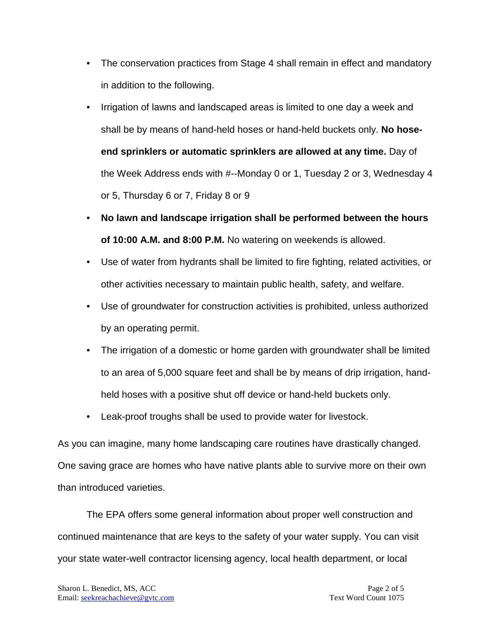- The conservation practices from Stage 4 shall remain in effect and mandatory in addition to the following.
- Irrigation of lawns and landscaped areas is limited to one day a week and shall be by means of hand-held hoses or hand-held buckets only. **No hoseend sprinklers or automatic sprinklers are allowed at any time.** Day of the Week Address ends with #--Monday 0 or 1, Tuesday 2 or 3, Wednesday 4 or 5, Thursday 6 or 7, Friday 8 or 9
- **No lawn and landscape irrigation shall be performed between the hours of 10:00 A.M. and 8:00 P.M.** No watering on weekends is allowed.
- Use of water from hydrants shall be limited to fire fighting, related activities, or other activities necessary to maintain public health, safety, and welfare.
- Use of groundwater for construction activities is prohibited, unless authorized by an operating permit.
- The irrigation of a domestic or home garden with groundwater shall be limited to an area of 5,000 square feet and shall be by means of drip irrigation, handheld hoses with a positive shut off device or hand-held buckets only.
- Leak-proof troughs shall be used to provide water for livestock.

As you can imagine, many home landscaping care routines have drastically changed. One saving grace are homes who have native plants able to survive more on their own than introduced varieties.

The EPA offers some general information about proper well construction and continued maintenance that are keys to the safety of your water supply. You can visit your state water-well contractor licensing agency, local health department, or local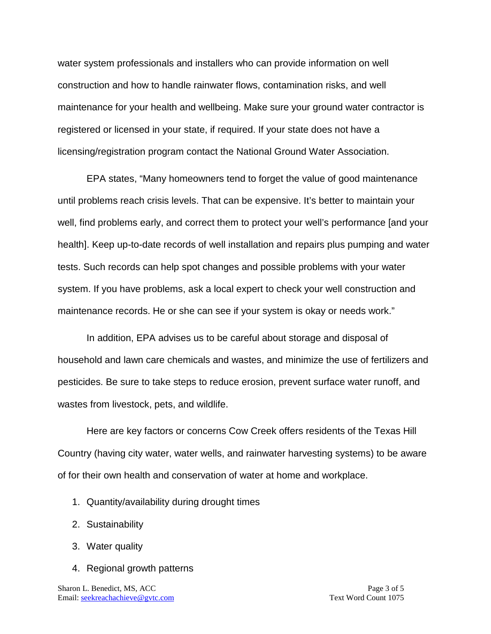water system professionals and installers who can provide information on well construction and how to handle rainwater flows, contamination risks, and well maintenance for your health and wellbeing. Make sure your ground water contractor is registered or licensed in your state, if required. If your state does not have a licensing/registration program contact the National Ground Water Association.

EPA states, "Many homeowners tend to forget the value of good maintenance until problems reach crisis levels. That can be expensive. It's better to maintain your well, find problems early, and correct them to protect your well's performance [and your health]. Keep up-to-date records of well installation and repairs plus pumping and water tests. Such records can help spot changes and possible problems with your water system. If you have problems, ask a local expert to check your well construction and maintenance records. He or she can see if your system is okay or needs work."

In addition, EPA advises us to be careful about storage and disposal of household and lawn care chemicals and wastes, and minimize the use of fertilizers and pesticides. Be sure to take steps to reduce erosion, prevent surface water runoff, and wastes from livestock, pets, and wildlife.

Here are key factors or concerns Cow Creek offers residents of the Texas Hill Country (having city water, water wells, and rainwater harvesting systems) to be aware of for their own health and conservation of water at home and workplace.

- 1. Quantity/availability during drought times
- 2. Sustainability
- 3. Water quality
- 4. Regional growth patterns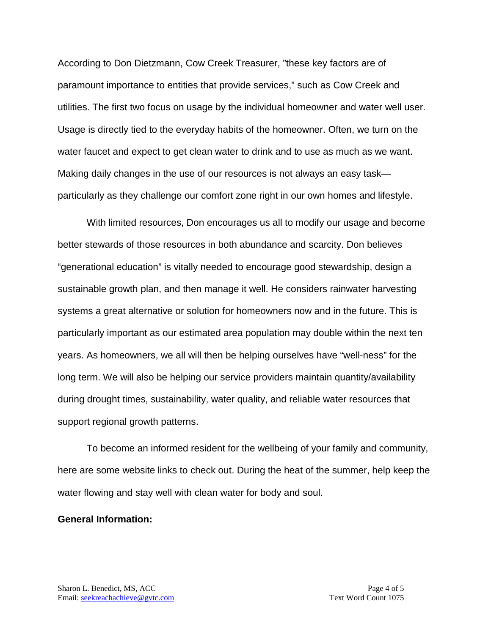According to Don Dietzmann, Cow Creek Treasurer, "these key factors are of paramount importance to entities that provide services," such as Cow Creek and utilities. The first two focus on usage by the individual homeowner and water well user. Usage is directly tied to the everyday habits of the homeowner. Often, we turn on the water faucet and expect to get clean water to drink and to use as much as we want. Making daily changes in the use of our resources is not always an easy task particularly as they challenge our comfort zone right in our own homes and lifestyle.

With limited resources, Don encourages us all to modify our usage and become better stewards of those resources in both abundance and scarcity. Don believes "generational education" is vitally needed to encourage good stewardship, design a sustainable growth plan, and then manage it well. He considers rainwater harvesting systems a great alternative or solution for homeowners now and in the future. This is particularly important as our estimated area population may double within the next ten years. As homeowners, we all will then be helping ourselves have "well-ness" for the long term. We will also be helping our service providers maintain quantity/availability during drought times, sustainability, water quality, and reliable water resources that support regional growth patterns.

To become an informed resident for the wellbeing of your family and community, here are some website links to check out. During the heat of the summer, help keep the water flowing and stay well with clean water for body and soul.

#### **General Information:**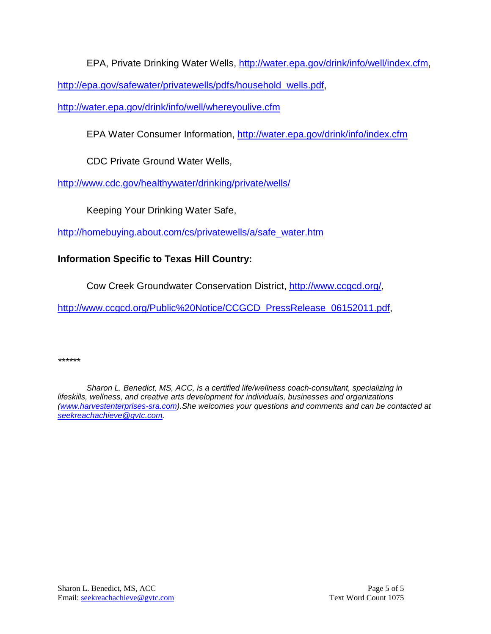EPA, Private Drinking Water Wells, [http://water.epa.gov/drink/info/well/index.cfm,](http://water.epa.gov/drink/info/well/index.cfm)

[http://epa.gov/safewater/privatewells/pdfs/household\\_wells.pdf,](http://epa.gov/safewater/privatewells/pdfs/household_wells.pdf)

<http://water.epa.gov/drink/info/well/whereyoulive.cfm>

EPA Water Consumer Information,<http://water.epa.gov/drink/info/index.cfm>

CDC Private Ground Water Wells,

<http://www.cdc.gov/healthywater/drinking/private/wells/>

Keeping Your Drinking Water Safe,

[http://homebuying.about.com/cs/privatewells/a/safe\\_water.htm](http://homebuying.about.com/cs/privatewells/a/safe_water.htm)

#### **Information Specific to Texas Hill Country:**

Cow Creek Groundwater Conservation District, [http://www.ccgcd.org/,](http://www.ccgcd.org/)

[http://www.ccgcd.org/Public%20Notice/CCGCD\\_PressRelease\\_06152011.pdf,](http://www.ccgcd.org/Public%20Notice/CCGCD_PressRelease_06152011.pdf)

*\*\*\*\*\*\**

*Sharon L. Benedict, MS, ACC, is a certified life/wellness coach-consultant, specializing in lifeskills, wellness, and creative arts development for individuals, businesses and organizations [\(www.harvestenterprises-sra.com\)](http://www.harvestenterprises-sra.com/).She welcomes your questions and comments and can be contacted at [seekreachachieve@gvtc.com.](mailto:seekreachachieve@gvtc.com)*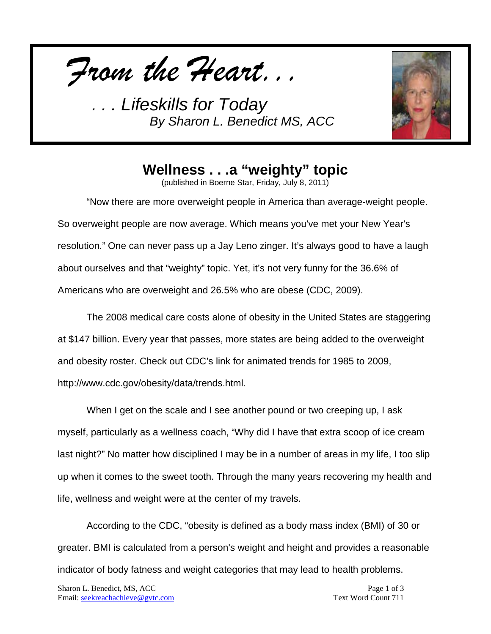*From the Heart...*



# **Wellness . . .a "weighty" topic**

(published in Boerne Star, Friday, July 8, 2011)

"Now there are more overweight people in America than average-weight people. So overweight people are now average. Which means you've met your New Year's resolution." One can never pass up a Jay Leno zinger. It's always good to have a laugh about ourselves and that "weighty" topic. Yet, it's not very funny for the 36.6% of Americans who are overweight and 26.5% who are obese (CDC, 2009).

The 2008 medical care costs alone of obesity in the United States are staggering at \$147 billion. Every year that passes, more states are being added to the overweight and obesity roster. Check out CDC's link for animated trends for 1985 to 2009, http://www.cdc.gov/obesity/data/trends.html.

When I get on the scale and I see another pound or two creeping up, I ask myself, particularly as a wellness coach, "Why did I have that extra scoop of ice cream last night?" No matter how disciplined I may be in a number of areas in my life, I too slip up when it comes to the sweet tooth. Through the many years recovering my health and life, wellness and weight were at the center of my travels.

According to the CDC, "obesity is defined as a body mass index (BMI) of 30 or greater. BMI is calculated from a person's weight and height and provides a reasonable indicator of body fatness and weight categories that may lead to health problems.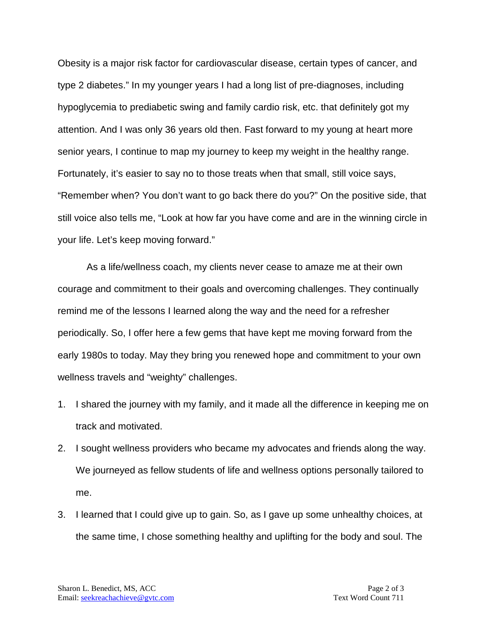Obesity is a major risk factor for cardiovascular disease, certain types of cancer, and type 2 diabetes." In my younger years I had a long list of pre-diagnoses, including hypoglycemia to prediabetic swing and family cardio risk, etc. that definitely got my attention. And I was only 36 years old then. Fast forward to my young at heart more senior years, I continue to map my journey to keep my weight in the healthy range. Fortunately, it's easier to say no to those treats when that small, still voice says, "Remember when? You don't want to go back there do you?" On the positive side, that still voice also tells me, "Look at how far you have come and are in the winning circle in your life. Let's keep moving forward."

As a life/wellness coach, my clients never cease to amaze me at their own courage and commitment to their goals and overcoming challenges. They continually remind me of the lessons I learned along the way and the need for a refresher periodically. So, I offer here a few gems that have kept me moving forward from the early 1980s to today. May they bring you renewed hope and commitment to your own wellness travels and "weighty" challenges.

- 1. I shared the journey with my family, and it made all the difference in keeping me on track and motivated.
- 2. I sought wellness providers who became my advocates and friends along the way. We journeyed as fellow students of life and wellness options personally tailored to me.
- 3. I learned that I could give up to gain. So, as I gave up some unhealthy choices, at the same time, I chose something healthy and uplifting for the body and soul. The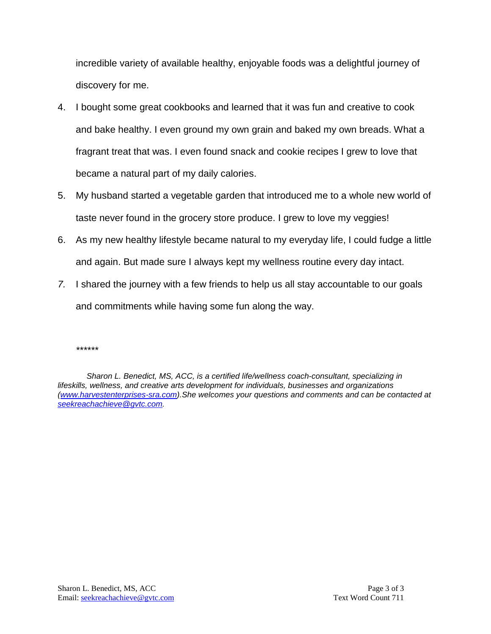incredible variety of available healthy, enjoyable foods was a delightful journey of discovery for me.

- 4. I bought some great cookbooks and learned that it was fun and creative to cook and bake healthy. I even ground my own grain and baked my own breads. What a fragrant treat that was. I even found snack and cookie recipes I grew to love that became a natural part of my daily calories.
- 5. My husband started a vegetable garden that introduced me to a whole new world of taste never found in the grocery store produce. I grew to love my veggies!
- 6. As my new healthy lifestyle became natural to my everyday life, I could fudge a little and again. But made sure I always kept my wellness routine every day intact.
- *7.* I shared the journey with a few friends to help us all stay accountable to our goals and commitments while having some fun along the way.

*<sup>\*\*\*\*\*\*</sup>*

*Sharon L. Benedict, MS, ACC, is a certified life/wellness coach-consultant, specializing in lifeskills, wellness, and creative arts development for individuals, businesses and organizations [\(www.harvestenterprises-sra.com\)](http://www.harvestenterprises-sra.com/).She welcomes your questions and comments and can be contacted at [seekreachachieve@gvtc.com.](mailto:seekreachachieve@gvtc.com)*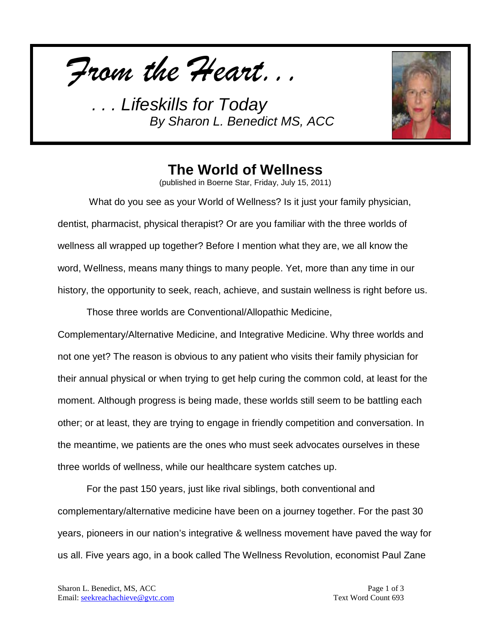*From the Heart...*



## **The World of Wellness**

(published in Boerne Star, Friday, July 15, 2011)

What do you see as your World of Wellness? Is it just your family physician, dentist, pharmacist, physical therapist? Or are you familiar with the three worlds of wellness all wrapped up together? Before I mention what they are, we all know the word, Wellness, means many things to many people. Yet, more than any time in our history, the opportunity to seek, reach, achieve, and sustain wellness is right before us.

Those three worlds are Conventional/Allopathic Medicine,

Complementary/Alternative Medicine, and Integrative Medicine. Why three worlds and not one yet? The reason is obvious to any patient who visits their family physician for their annual physical or when trying to get help curing the common cold, at least for the moment. Although progress is being made, these worlds still seem to be battling each other; or at least, they are trying to engage in friendly competition and conversation. In the meantime, we patients are the ones who must seek advocates ourselves in these three worlds of wellness, while our healthcare system catches up.

For the past 150 years, just like rival siblings, both conventional and complementary/alternative medicine have been on a journey together. For the past 30 years, pioneers in our nation's integrative & wellness movement have paved the way for us all. Five years ago, in a book called The Wellness Revolution, economist Paul Zane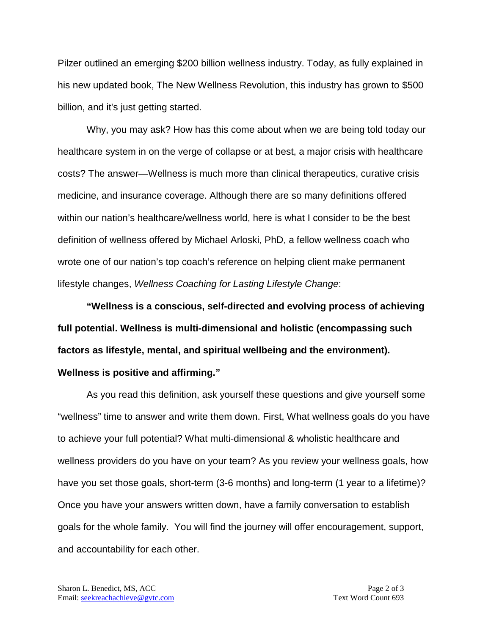Pilzer outlined an emerging \$200 billion wellness industry. Today, as fully explained in his new updated book, The New Wellness Revolution, this industry has grown to \$500 billion, and it's just getting started.

Why, you may ask? How has this come about when we are being told today our healthcare system in on the verge of collapse or at best, a major crisis with healthcare costs? The answer—Wellness is much more than clinical therapeutics, curative crisis medicine, and insurance coverage. Although there are so many definitions offered within our nation's healthcare/wellness world, here is what I consider to be the best definition of wellness offered by Michael Arloski, PhD, a fellow wellness coach who wrote one of our nation's top coach's reference on helping client make permanent lifestyle changes, *Wellness Coaching for Lasting Lifestyle Change*:

**"Wellness is a conscious, self-directed and evolving process of achieving full potential. Wellness is multi-dimensional and holistic (encompassing such factors as lifestyle, mental, and spiritual wellbeing and the environment). Wellness is positive and affirming."**

As you read this definition, ask yourself these questions and give yourself some "wellness" time to answer and write them down. First, What wellness goals do you have to achieve your full potential? What multi-dimensional & wholistic healthcare and wellness providers do you have on your team? As you review your wellness goals, how have you set those goals, short-term (3-6 months) and long-term (1 year to a lifetime)? Once you have your answers written down, have a family conversation to establish goals for the whole family. You will find the journey will offer encouragement, support, and accountability for each other.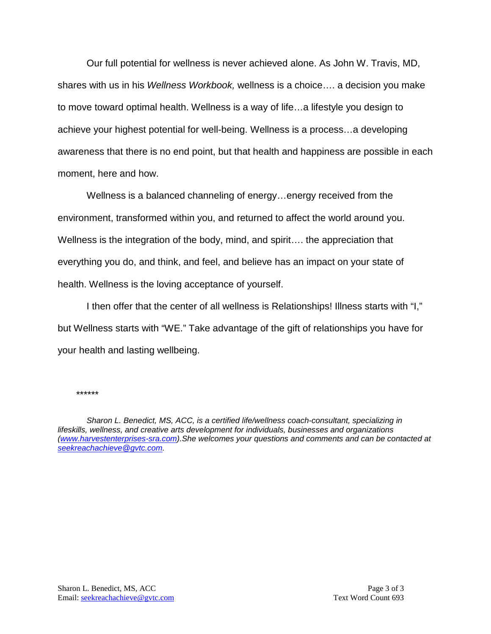Our full potential for wellness is never achieved alone. As John W. Travis, MD, shares with us in his *Wellness Workbook,* wellness is a choice…. a decision you make to move toward optimal health. Wellness is a way of life…a lifestyle you design to achieve your highest potential for well-being. Wellness is a process…a developing awareness that there is no end point, but that health and happiness are possible in each moment, here and how.

Wellness is a balanced channeling of energy…energy received from the environment, transformed within you, and returned to affect the world around you. Wellness is the integration of the body, mind, and spirit…. the appreciation that everything you do, and think, and feel, and believe has an impact on your state of health. Wellness is the loving acceptance of yourself.

I then offer that the center of all wellness is Relationships! Illness starts with "I," but Wellness starts with "WE." Take advantage of the gift of relationships you have for your health and lasting wellbeing.

*\*\*\*\*\*\**

*Sharon L. Benedict, MS, ACC, is a certified life/wellness coach-consultant, specializing in lifeskills, wellness, and creative arts development for individuals, businesses and organizations [\(www.harvestenterprises-sra.com\)](http://www.harvestenterprises-sra.com/).She welcomes your questions and comments and can be contacted at [seekreachachieve@gvtc.com.](mailto:seekreachachieve@gvtc.com)*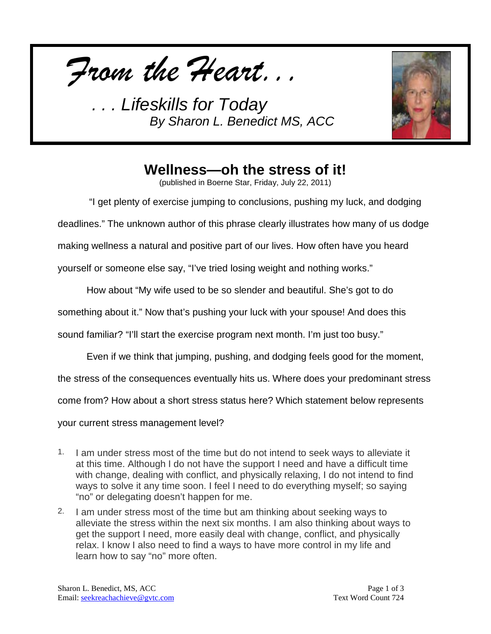*From the Heart...*



# **Wellness—oh the stress of it!**

(published in Boerne Star, Friday, July 22, 2011)

"I get plenty of exercise jumping to conclusions, pushing my luck, and dodging

deadlines." The unknown author of this phrase clearly illustrates how many of us dodge

making wellness a natural and positive part of our lives. How often have you heard

yourself or someone else say, "I've tried losing weight and nothing works."

How about "My wife used to be so slender and beautiful. She's got to do

something about it." Now that's pushing your luck with your spouse! And does this

sound familiar? "I'll start the exercise program next month. I'm just too busy."

Even if we think that jumping, pushing, and dodging feels good for the moment,

the stress of the consequences eventually hits us. Where does your predominant stress

come from? How about a short stress status here? Which statement below represents

your current stress management level?

- 1. I am under stress most of the time but do not intend to seek ways to alleviate it at this time. Although I do not have the support I need and have a difficult time with change, dealing with conflict, and physically relaxing, I do not intend to find ways to solve it any time soon. I feel I need to do everything myself; so saying "no" or delegating doesn't happen for me.
- 2. I am under stress most of the time but am thinking about seeking ways to alleviate the stress within the next six months. I am also thinking about ways to get the support I need, more easily deal with change, conflict, and physically relax. I know I also need to find a ways to have more control in my life and learn how to say "no" more often.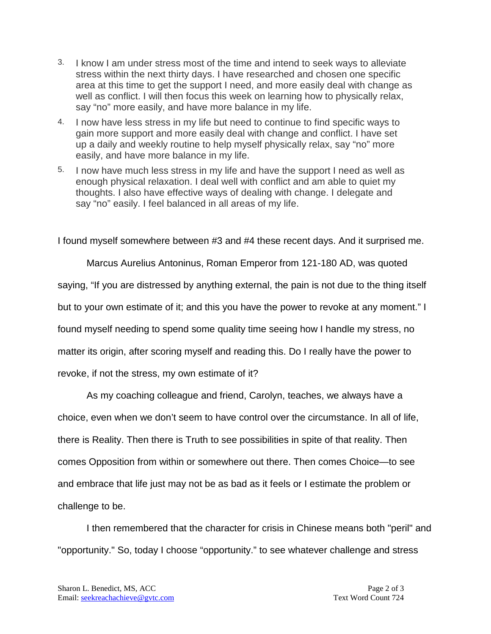- 3. I know I am under stress most of the time and intend to seek ways to alleviate stress within the next thirty days. I have researched and chosen one specific area at this time to get the support I need, and more easily deal with change as well as conflict. I will then focus this week on learning how to physically relax, say "no" more easily, and have more balance in my life.
- 4. I now have less stress in my life but need to continue to find specific ways to gain more support and more easily deal with change and conflict. I have set up a daily and weekly routine to help myself physically relax, say "no" more easily, and have more balance in my life.
- 5. I now have much less stress in my life and have the support I need as well as enough physical relaxation. I deal well with conflict and am able to quiet my thoughts. I also have effective ways of dealing with change. I delegate and say "no" easily. I feel balanced in all areas of my life.

I found myself somewhere between #3 and #4 these recent days. And it surprised me.

Marcus Aurelius Antoninus, Roman Emperor from 121-180 AD, was quoted saying, "If you are distressed by anything external, the pain is not due to the thing itself but to your own estimate of it; and this you have the power to revoke at any moment." I found myself needing to spend some quality time seeing how I handle my stress, no matter its origin, after scoring myself and reading this. Do I really have the power to revoke, if not the stress, my own estimate of it?

As my coaching colleague and friend, Carolyn, teaches, we always have a choice, even when we don't seem to have control over the circumstance. In all of life, there is Reality. Then there is Truth to see possibilities in spite of that reality. Then comes Opposition from within or somewhere out there. Then comes Choice—to see and embrace that life just may not be as bad as it feels or I estimate the problem or challenge to be.

I then remembered that the character for crisis in Chinese means both "peril" and "opportunity." So, today I choose "opportunity." to see whatever challenge and stress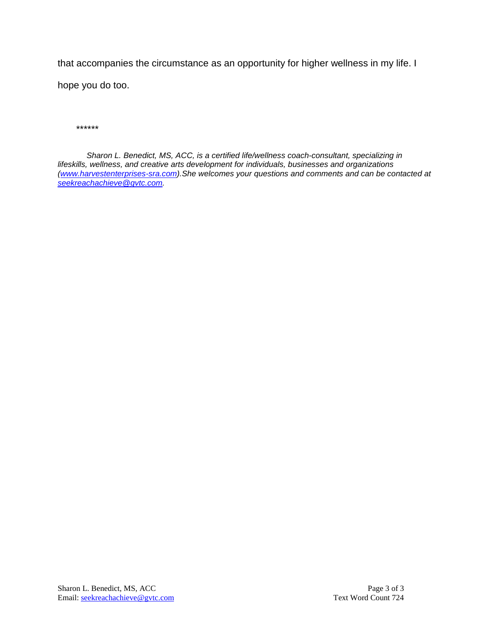that accompanies the circumstance as an opportunity for higher wellness in my life. I hope you do too.

*\*\*\*\*\*\**

*Sharon L. Benedict, MS, ACC, is a certified life/wellness coach-consultant, specializing in lifeskills, wellness, and creative arts development for individuals, businesses and organizations [\(www.harvestenterprises-sra.com\)](http://www.harvestenterprises-sra.com/).She welcomes your questions and comments and can be contacted at [seekreachachieve@gvtc.com.](mailto:seekreachachieve@gvtc.com)*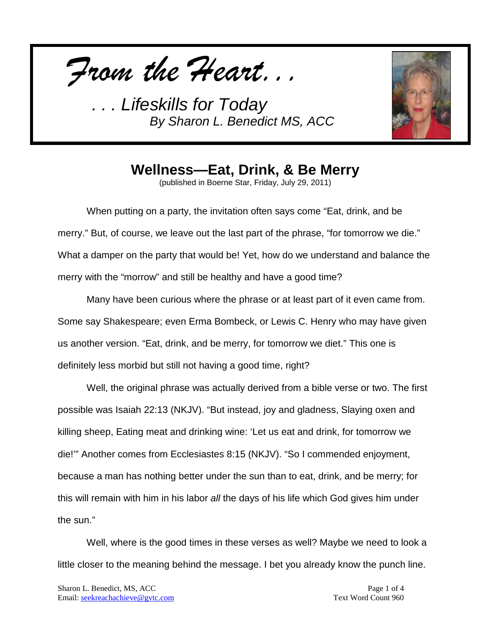*From the Heart...*



**Wellness—Eat, Drink, & Be Merry**

(published in Boerne Star, Friday, July 29, 2011)

When putting on a party, the invitation often says come "Eat, drink, and be merry." But, of course, we leave out the last part of the phrase, "for tomorrow we die." What a damper on the party that would be! Yet, how do we understand and balance the merry with the "morrow" and still be healthy and have a good time?

Many have been curious where the phrase or at least part of it even came from. Some say Shakespeare; even Erma Bombeck, or Lewis C. Henry who may have given us another version. "Eat, drink, and be merry, for tomorrow we diet." This one is definitely less morbid but still not having a good time, right?

Well, the original phrase was actually derived from a bible verse or two. The first possible was Isaiah 22:13 (NKJV). "But instead, joy and gladness, Slaying oxen and killing sheep, Eating meat and drinking wine: 'Let us eat and drink, for tomorrow we die!'" Another comes from Ecclesiastes 8:15 (NKJV). "So I commended enjoyment, because a man has nothing better under the sun than to eat, drink, and be merry; for this will remain with him in his labor *all* the days of his life which God gives him under the sun."

Well, where is the good times in these verses as well? Maybe we need to look a little closer to the meaning behind the message. I bet you already know the punch line.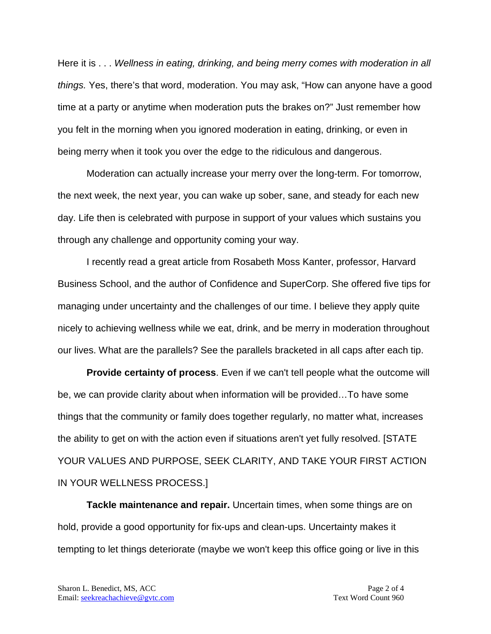Here it is . . . *Wellness in eating, drinking, and being merry comes with moderation in all things.* Yes, there's that word, moderation. You may ask, "How can anyone have a good time at a party or anytime when moderation puts the brakes on?" Just remember how you felt in the morning when you ignored moderation in eating, drinking, or even in being merry when it took you over the edge to the ridiculous and dangerous.

Moderation can actually increase your merry over the long-term. For tomorrow, the next week, the next year, you can wake up sober, sane, and steady for each new day. Life then is celebrated with purpose in support of your values which sustains you through any challenge and opportunity coming your way.

I recently read a great article from Rosabeth Moss Kanter, professor, Harvard Business School, and the author of Confidence and SuperCorp. She offered five tips for managing under uncertainty and the challenges of our time. I believe they apply quite nicely to achieving wellness while we eat, drink, and be merry in moderation throughout our lives. What are the parallels? See the parallels bracketed in all caps after each tip.

**Provide certainty of process**. Even if we can't tell people what the outcome will be, we can provide clarity about when information will be provided…To have some things that the community or family does together regularly, no matter what, increases the ability to get on with the action even if situations aren't yet fully resolved. [STATE YOUR VALUES AND PURPOSE, SEEK CLARITY, AND TAKE YOUR FIRST ACTION IN YOUR WELLNESS PROCESS.]

**Tackle maintenance and repair.** Uncertain times, when some things are on hold, provide a good opportunity for fix-ups and clean-ups. Uncertainty makes it tempting to let things deteriorate (maybe we won't keep this office going or live in this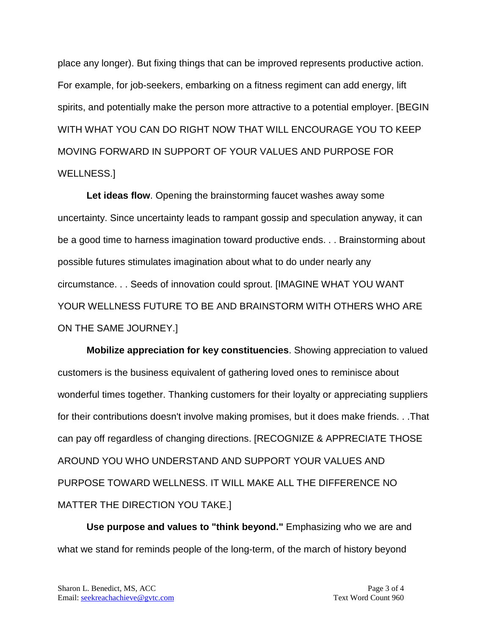place any longer). But fixing things that can be improved represents productive action. For example, for job-seekers, embarking on a fitness regiment can add energy, lift spirits, and potentially make the person more attractive to a potential employer. [BEGIN WITH WHAT YOU CAN DO RIGHT NOW THAT WILL ENCOURAGE YOU TO KEEP MOVING FORWARD IN SUPPORT OF YOUR VALUES AND PURPOSE FOR WELLNESS.]

**Let ideas flow**. Opening the brainstorming faucet washes away some uncertainty. Since uncertainty leads to rampant gossip and speculation anyway, it can be a good time to harness imagination toward productive ends. . . Brainstorming about possible futures stimulates imagination about what to do under nearly any circumstance. . . Seeds of innovation could sprout. [IMAGINE WHAT YOU WANT YOUR WELLNESS FUTURE TO BE AND BRAINSTORM WITH OTHERS WHO ARE ON THE SAME JOURNEY.]

**Mobilize appreciation for key constituencies**. Showing appreciation to valued customers is the business equivalent of gathering loved ones to reminisce about wonderful times together. Thanking customers for their loyalty or appreciating suppliers for their contributions doesn't involve making promises, but it does make friends. . .That can pay off regardless of changing directions. [RECOGNIZE & APPRECIATE THOSE AROUND YOU WHO UNDERSTAND AND SUPPORT YOUR VALUES AND PURPOSE TOWARD WELLNESS. IT WILL MAKE ALL THE DIFFERENCE NO MATTER THE DIRECTION YOU TAKE.]

**Use purpose and values to "think beyond."** Emphasizing who we are and what we stand for reminds people of the long-term, of the march of history beyond